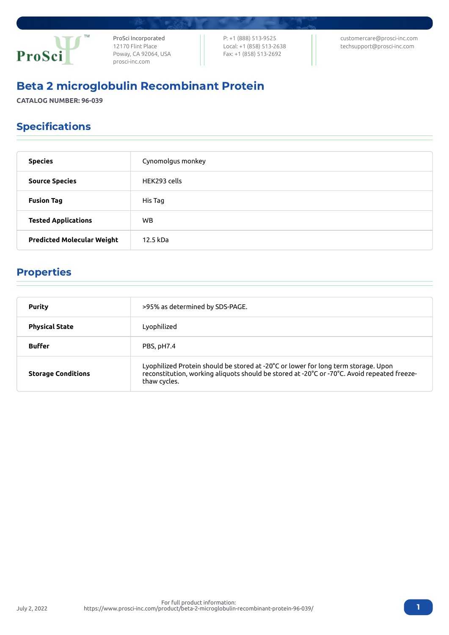

ProSci Incorporated 12170 Flint Place Poway, CA 92064, USA [prosci-inc.com](https://prosci-inc.com/)

P: +1 (888) 513-9525 Local: +1 (858) 513-2638 Fax: +1 (858) 513-2692

[customercare@prosci-inc.com](mailto:customercare@prosci-inc.com) [techsupport@prosci-inc.com](mailto:techsupport@prosci-inc.com)

# Beta 2 microglobulin Recombinant Protein

**CATALOG NUMBER: 96-039**

## Specifications

| <b>Species</b>                    | Cynomolgus monkey |
|-----------------------------------|-------------------|
| <b>Source Species</b>             | HEK293 cells      |
| <b>Fusion Tag</b>                 | His Tag           |
| <b>Tested Applications</b>        | WB.               |
| <b>Predicted Molecular Weight</b> | 12.5 kDa          |

### Properties

July 2, 2022

| <b>Purity</b>             | >95% as determined by SDS-PAGE.                                                                                                                                                                   |  |  |
|---------------------------|---------------------------------------------------------------------------------------------------------------------------------------------------------------------------------------------------|--|--|
| <b>Physical State</b>     | Lyophilized                                                                                                                                                                                       |  |  |
| <b>Buffer</b>             | PBS, pH7.4                                                                                                                                                                                        |  |  |
| <b>Storage Conditions</b> | Lyophilized Protein should be stored at -20°C or lower for long term storage. Upon<br>reconstitution, working aliquots should be stored at -20°C or -70°C. Avoid repeated freeze-<br>thaw cycles. |  |  |